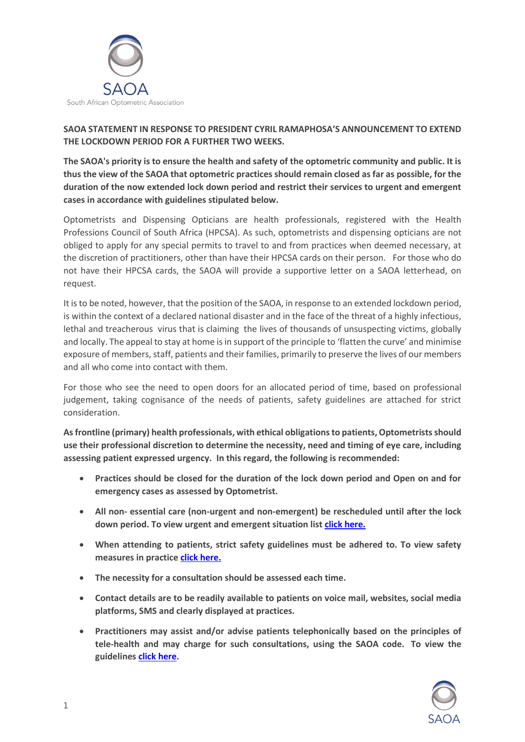

## **SAOA STATEMENT IN RESPONSE TO PRESIDENT CYRIL RAMAPHOSA'S ANNOUNCEMENT TO EXTEND THE LOCKDOWN PERIOD FOR A FURTHER TWO WEEKS.**

**The SAOA's priority is to ensure the health and safety of the optometric community and public. It is thus the view of the SAOA that optometric practices should remain closed as far as possible, for the duration of the now extended lock down period and restrict their services to urgent and emergent cases in accordance with guidelines stipulated below.** 

Optometrists and Dispensing Opticians are health professionals, registered with the Health Professions Council of South Africa (HPCSA). As such, optometrists and dispensing opticians are not obliged to apply for any special permits to travel to and from practices when deemed necessary, at the discretion of practitioners, other than have their HPCSA cards on their person. For those who do not have their HPCSA cards, the SAOA will provide a supportive letter on a SAOA letterhead, on request.

It is to be noted, however, that the position of the SAOA, in response to an extended lockdown period, is within the context of a declared national disaster and in the face of the threat of a highly infectious, lethal and treacherous virus that is claiming the lives of thousands of unsuspecting victims, globally and locally. The appeal to stay at home is in support of the principle to 'flatten the curve' and minimise exposure of members, staff, patients and their families, primarily to preserve the lives of our members and all who come into contact with them.

For those who see the need to open doors for an allocated period of time, based on professional judgement, taking cognisance of the needs of patients, safety guidelines are attached for strict consideration.

**As frontline (primary) health professionals, with ethical obligations to patients, Optometrists should use their professional discretion to determine the necessity, need and timing of eye care, including assessing patient expressed urgency. In this regard, the following is recommended:** 

- **Practices should be closed for the duration of the lock down period and Open on and for emergency cases as assessed by Optometrist.**
- **All non- essential care (non-urgent and non-emergent) be rescheduled until after the lock down period. To view urgent and emergent situation list [click here.](https://docs.mymembership.co.za/docmanager/5f31be33-27e1-e511-940f-002590a85a77/00149720.pdf)**
- **When attending to patients, strict safety guidelines must be adhered to. To view safety measures in practic[e click here.](https://docs.mymembership.co.za/docmanager/5f31be33-27e1-e511-940f-002590a85a77/00149722.pdf)**
- **The necessity for a consultation should be assessed each time.**
- **Contact details are to be readily available to patients on voice mail, websites, social media platforms, SMS and clearly displayed at practices.**
- **Practitioners may assist and/or advise patients telephonically based on the principles of tele-health and may charge for such consultations, using the SAOA code. To view the guidelines [click here.](https://docs.mymembership.co.za/docmanager/5f31be33-27e1-e511-940f-002590a85a77/00149724.pdf)**